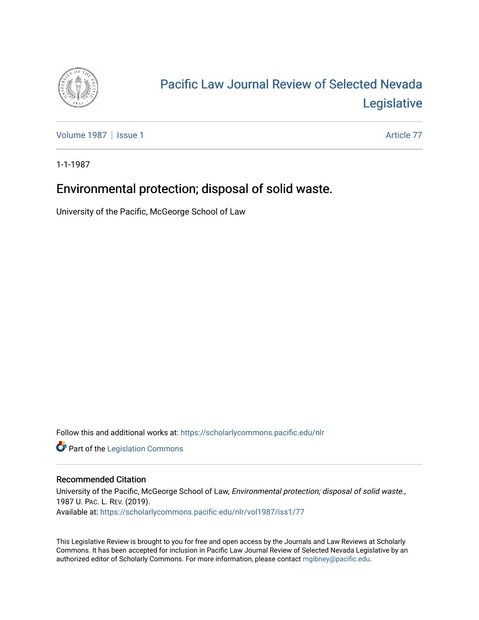

# [Pacific Law Journal Review of Selected Nevada](https://scholarlycommons.pacific.edu/nlr)  [Legislative](https://scholarlycommons.pacific.edu/nlr)

[Volume 1987](https://scholarlycommons.pacific.edu/nlr/vol1987) | [Issue 1](https://scholarlycommons.pacific.edu/nlr/vol1987/iss1) Article 77

1-1-1987

# Environmental protection; disposal of solid waste.

University of the Pacific, McGeorge School of Law

Follow this and additional works at: [https://scholarlycommons.pacific.edu/nlr](https://scholarlycommons.pacific.edu/nlr?utm_source=scholarlycommons.pacific.edu%2Fnlr%2Fvol1987%2Fiss1%2F77&utm_medium=PDF&utm_campaign=PDFCoverPages) 

**Part of the [Legislation Commons](http://network.bepress.com/hgg/discipline/859?utm_source=scholarlycommons.pacific.edu%2Fnlr%2Fvol1987%2Fiss1%2F77&utm_medium=PDF&utm_campaign=PDFCoverPages)** 

### Recommended Citation

University of the Pacific, McGeorge School of Law, Environmental protection; disposal of solid waste., 1987 U. PAC. L. REV. (2019). Available at: [https://scholarlycommons.pacific.edu/nlr/vol1987/iss1/77](https://scholarlycommons.pacific.edu/nlr/vol1987/iss1/77?utm_source=scholarlycommons.pacific.edu%2Fnlr%2Fvol1987%2Fiss1%2F77&utm_medium=PDF&utm_campaign=PDFCoverPages)

This Legislative Review is brought to you for free and open access by the Journals and Law Reviews at Scholarly Commons. It has been accepted for inclusion in Pacific Law Journal Review of Selected Nevada Legislative by an authorized editor of Scholarly Commons. For more information, please contact [mgibney@pacific.edu](mailto:mgibney@pacific.edu).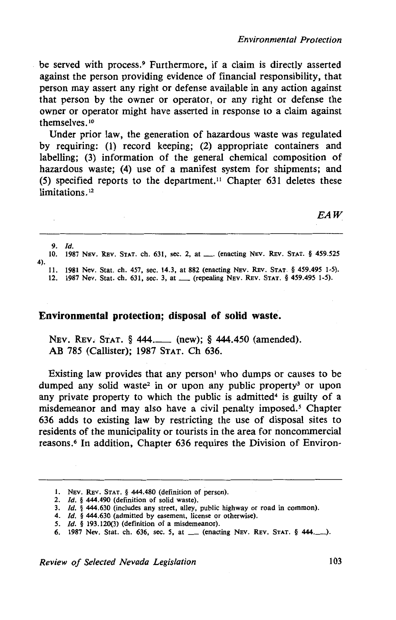be served with process.9 Furthermore, if a claim is directly asserted against the person providing evidence of financial responsibility, that person may assert any right or defense available in any action against that person by the owner or operator, or any right or defense the owner or operator might have asserted in response to a claim against themselves.<sup>10</sup>

Under prior law, the generation of hazardous waste was regulated by requiring: (1) record keeping; (2) appropriate containers and labelling; (3) information of the general chemical composition of hazardous waste; (4) use of a manifest system for shipments; and (5) specified reports to the department." Chapter 631 deletes these limitations.<sup>12</sup>

*EAW* 

9. /d. 10. 1987 NEV. REV. STAT. ch. 631, sec. 2, at\_ (enacting NEV. REV. STAT. § *459.525*  4). 11. 1981 Nev. Stat. ch. 457, sec. 14.3, at 882 (enacting NEV. REv. STAT.§ *459.495* 1-5).

12. 1987 Nev. Stat. ch. 631, sec. 3, at\_ (repealing NEV. REv. STAT. § *459.495* 1-5).

#### **Environmental protection; disposal of solid waste.**

NEv. REv; STAT. § 444.\_ (new); § 444.450 (amended). AB 785 (Callister); 1987 STAT. Ch 636.

Existing law provides that any person<sup>1</sup> who dumps or causes to be dumped any solid waste<sup>2</sup> in or upon any public property<sup>3</sup> or upon any private property to which the public is admitted<sup>4</sup> is guilty of a misdemeanor and may also have a civil penalty imposed. *5* Chapter 636 adds to existing law by restricting the use of disposal sites to residents of the municipality or tourists in the area for noncommercial reasons.<sup>6</sup> In addition, Chapter 636 requires the Division of Environ-

*Review of Selected Nevada Legislation* 103

<sup>1.</sup> NEV. REv. STAT. § 444.480 (definition of person).

<sup>2.</sup> */d.* § 444.490 (definition of solid waste).

<sup>3.</sup> *ld.* § 444.630 (includes any street, alley, public highway or road in common).

<sup>4.</sup> *Id.* § 444.630 (admitted by easement, license or otherwise).

*<sup>5. /</sup>d.* § 193.120(3) (definition of a misdemeanor).

<sup>6. 1987</sup> Nev. Stat. ch. 636, sec. 5, at <u>...</u> (enacting Nev. Rev. Stat. § 444.......).